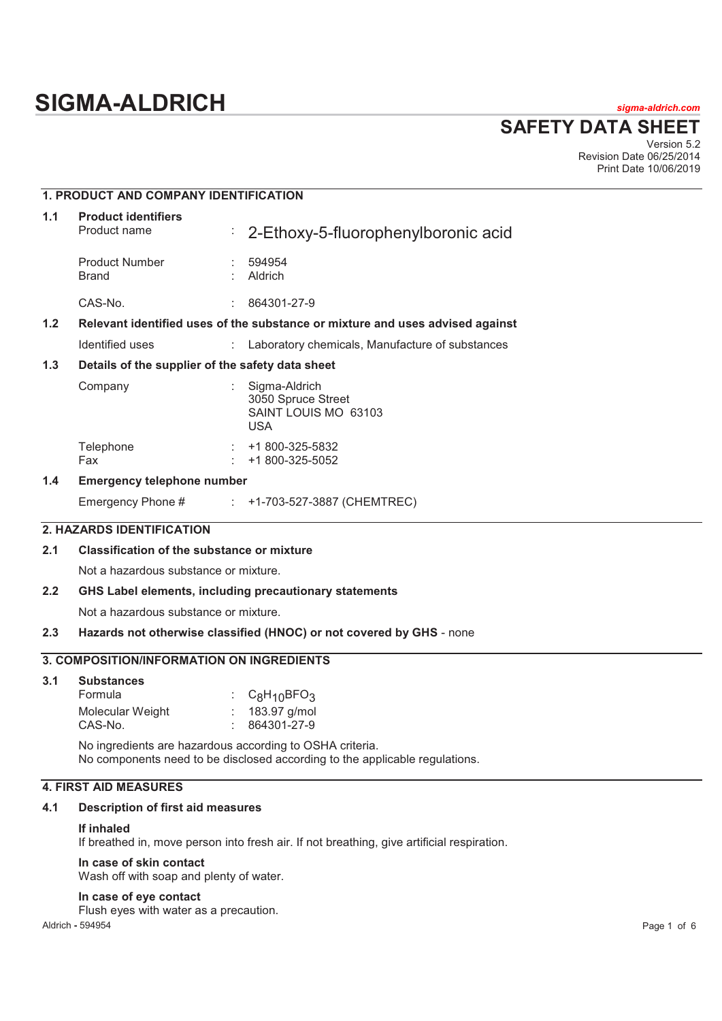# **SIGMA-ALDRICH** *sigma-aldrich.com*

**SAFETY DATA SHEET**

Version 5.2 Revision Date 06/25/2014 Print Date 10/06/2019

## **1. PRODUCT AND COMPANY IDENTIFICATION 1.1 Product identifiers**  Product name : 2-Ethoxy-5-fluorophenylboronic acid Product Number : 594954<br>Brand : Aldrich **Aldrich** CAS-No. : 864301-27-9 **1.2 Relevant identified uses of the substance or mixture and uses advised against**  Identified uses : Laboratory chemicals, Manufacture of substances **1.3 Details of the supplier of the safety data sheet**  Company : Sigma-Aldrich 3050 Spruce Street SAINT LOUIS MO 63103 USA Telephone : +1 800-325-5832 Fax : +1 800-325-5052 **1.4 Emergency telephone number**  Emergency Phone # : +1-703-527-3887 (CHEMTREC) **2. HAZARDS IDENTIFICATION 2.1 Classification of the substance or mixture**  Not a hazardous substance or mixture. **2.2 GHS Label elements, including precautionary statements**  Not a hazardous substance or mixture. **2.3 Hazards not otherwise classified (HNOC) or not covered by GHS** - none **3. COMPOSITION/INFORMATION ON INGREDIENTS 3.1 Substances**  Formula : C<sub>8</sub>H<sub>10</sub>BFO<sub>3</sub> Molecular Weight : 183.97 g/mol

No ingredients are hazardous according to OSHA criteria. No components need to be disclosed according to the applicable regulations.

## **4. FIRST AID MEASURES**

## **4.1 Description of first aid measures**

#### **If inhaled**

If breathed in, move person into fresh air. If not breathing, give artificial respiration.

#### **In case of skin contact**

Wash off with soap and plenty of water.

CAS-No. : 864301-27-9

#### **In case of eye contact**

Flush eyes with water as a precaution.

Aldrich **-** 594954 Page 1 of 6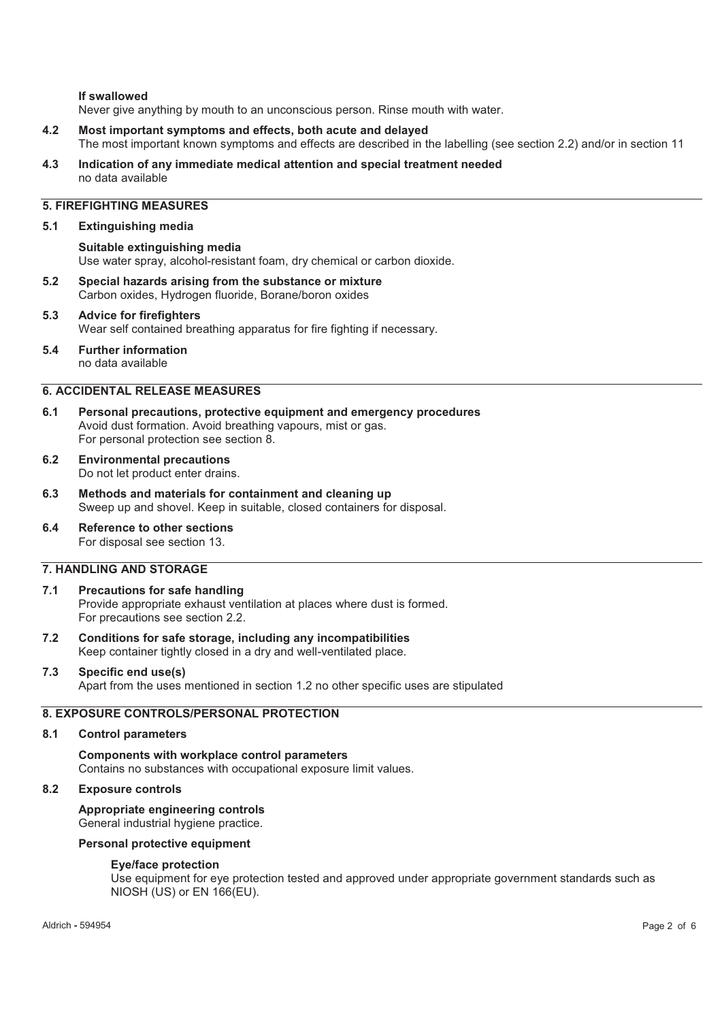#### **If swallowed**

Never give anything by mouth to an unconscious person. Rinse mouth with water.

- **4.2 Most important symptoms and effects, both acute and delayed**  The most important known symptoms and effects are described in the labelling (see section 2.2) and/or in section 11
- **4.3 Indication of any immediate medical attention and special treatment needed**  no data available

## **5. FIREFIGHTING MEASURES**

#### **5.1 Extinguishing media**

**Suitable extinguishing media**  Use water spray, alcohol-resistant foam, dry chemical or carbon dioxide.

- **5.2 Special hazards arising from the substance or mixture**  Carbon oxides, Hydrogen fluoride, Borane/boron oxides
- **5.3 Advice for firefighters**  Wear self contained breathing apparatus for fire fighting if necessary.
- **5.4 Further information**  no data available

## **6. ACCIDENTAL RELEASE MEASURES**

- **6.1 Personal precautions, protective equipment and emergency procedures**  Avoid dust formation. Avoid breathing vapours, mist or gas. For personal protection see section 8.
- **6.2 Environmental precautions**  Do not let product enter drains.
- **6.3 Methods and materials for containment and cleaning up**  Sweep up and shovel. Keep in suitable, closed containers for disposal.
- **6.4 Reference to other sections**  For disposal see section 13.

## **7. HANDLING AND STORAGE**

#### **7.1 Precautions for safe handling**  Provide appropriate exhaust ventilation at places where dust is formed. For precautions see section 2.2.

- **7.2 Conditions for safe storage, including any incompatibilities**  Keep container tightly closed in a dry and well-ventilated place.
- **7.3 Specific end use(s)**  Apart from the uses mentioned in section 1.2 no other specific uses are stipulated

## **8. EXPOSURE CONTROLS/PERSONAL PROTECTION**

#### **8.1 Control parameters**

**Components with workplace control parameters**  Contains no substances with occupational exposure limit values.

## **8.2 Exposure controls**

**Appropriate engineering controls**  General industrial hygiene practice.

#### **Personal protective equipment**

#### **Eye/face protection**

Use equipment for eye protection tested and approved under appropriate government standards such as NIOSH (US) or EN 166(EU).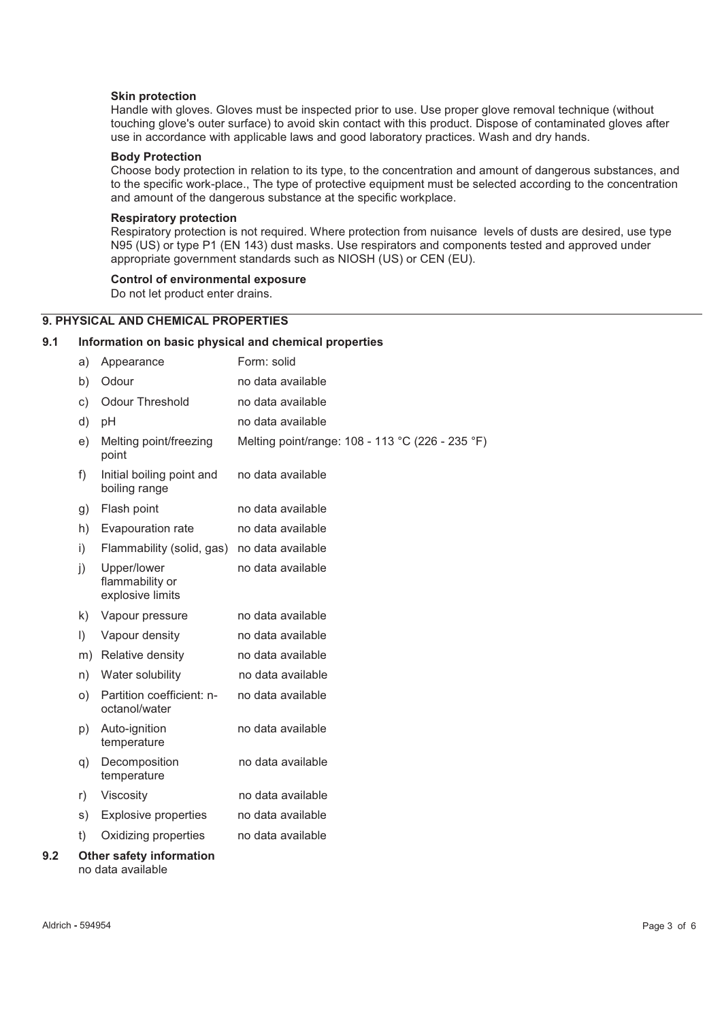#### **Skin protection**

Handle with gloves. Gloves must be inspected prior to use. Use proper glove removal technique (without touching glove's outer surface) to avoid skin contact with this product. Dispose of contaminated gloves after use in accordance with applicable laws and good laboratory practices. Wash and dry hands.

## **Body Protection**

Choose body protection in relation to its type, to the concentration and amount of dangerous substances, and to the specific work-place., The type of protective equipment must be selected according to the concentration and amount of the dangerous substance at the specific workplace.

#### **Respiratory protection**

Respiratory protection is not required. Where protection from nuisance levels of dusts are desired, use type N95 (US) or type P1 (EN 143) dust masks. Use respirators and components tested and approved under appropriate government standards such as NIOSH (US) or CEN (EU).

#### **Control of environmental exposure**

Do not let product enter drains.

## **9. PHYSICAL AND CHEMICAL PROPERTIES**

## **9.1 Information on basic physical and chemical properties**

|     | a)      | Appearance                                           | Form: solid                                      |
|-----|---------|------------------------------------------------------|--------------------------------------------------|
|     | b)      | Odour                                                | no data available                                |
|     | c)      | <b>Odour Threshold</b>                               | no data available                                |
|     | d)      | pH                                                   | no data available                                |
|     | e)      | Melting point/freezing<br>point                      | Melting point/range: 108 - 113 °C (226 - 235 °F) |
|     | f)      | Initial boiling point and<br>boiling range           | no data available                                |
|     | g)      | Flash point                                          | no data available                                |
|     | h)      | Evapouration rate                                    | no data available                                |
|     | i)      | Flammability (solid, gas)                            | no data available                                |
|     | j)      | Upper/lower<br>flammability or<br>explosive limits   | no data available                                |
|     | k)      | Vapour pressure                                      | no data available                                |
|     | $\vert$ | Vapour density                                       | no data available                                |
|     | m)      | Relative density                                     | no data available                                |
|     | n)      | Water solubility                                     | no data available                                |
|     | O)      | Partition coefficient: n-<br>octanol/water           | no data available                                |
|     | p)      | Auto-ignition<br>temperature                         | no data available                                |
|     | q)      | Decomposition<br>temperature                         | no data available                                |
|     | r)      | Viscosity                                            | no data available                                |
|     | s)      | <b>Explosive properties</b>                          | no data available                                |
|     | t)      | Oxidizing properties                                 | no data available                                |
| 9.2 |         | <b>Other safety information</b><br>no data available |                                                  |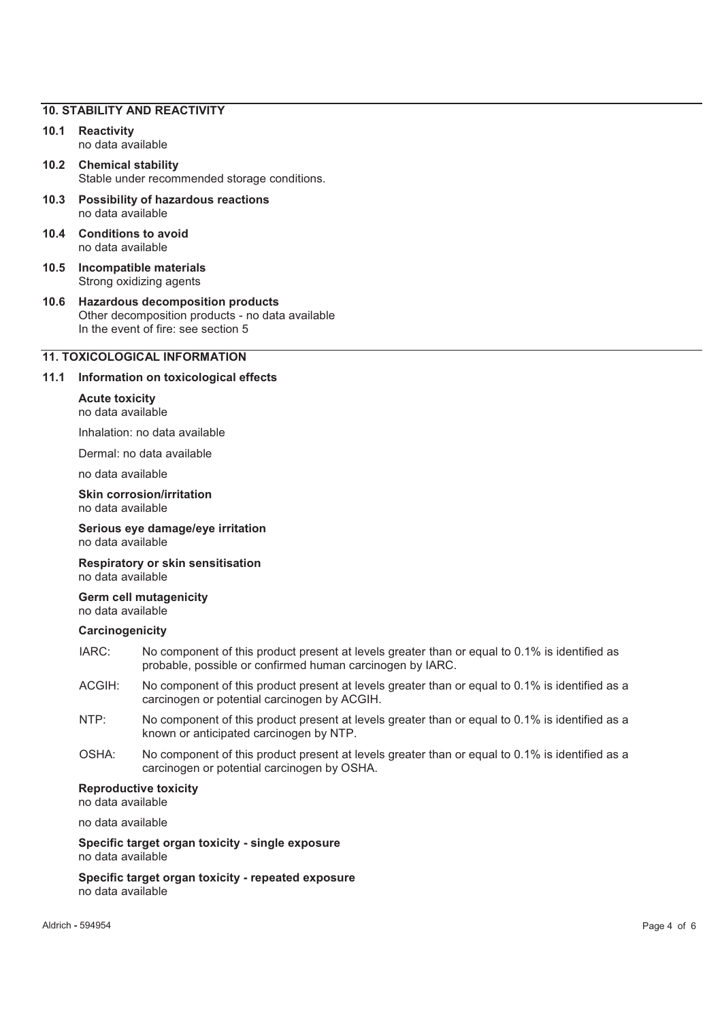#### **10. STABILITY AND REACTIVITY**

- **10.1 Reactivity**  no data available
- **10.2 Chemical stability**  Stable under recommended storage conditions.
- **10.3 Possibility of hazardous reactions**  no data available
- **10.4 Conditions to avoid**  no data available
- **10.5 Incompatible materials**  Strong oxidizing agents
- **10.6 Hazardous decomposition products**  Other decomposition products - no data available In the event of fire: see section 5

## **11. TOXICOLOGICAL INFORMATION**

#### **11.1 Information on toxicological effects**

#### **Acute toxicity**  no data available

Inhalation: no data available

Dermal: no data available

no data available

**Skin corrosion/irritation**  no data available

**Serious eye damage/eye irritation**  no data available

**Respiratory or skin sensitisation**  no data available

**Germ cell mutagenicity**  no data available

#### **Carcinogenicity**

- IARC: No component of this product present at levels greater than or equal to 0.1% is identified as probable, possible or confirmed human carcinogen by IARC.
- ACGIH: No component of this product present at levels greater than or equal to 0.1% is identified as a carcinogen or potential carcinogen by ACGIH.
- NTP: No component of this product present at levels greater than or equal to 0.1% is identified as a known or anticipated carcinogen by NTP.
- OSHA: No component of this product present at levels greater than or equal to 0.1% is identified as a carcinogen or potential carcinogen by OSHA.

#### **Reproductive toxicity**

no data available

no data available

**Specific target organ toxicity - single exposure**  no data available

**Specific target organ toxicity - repeated exposure**  no data available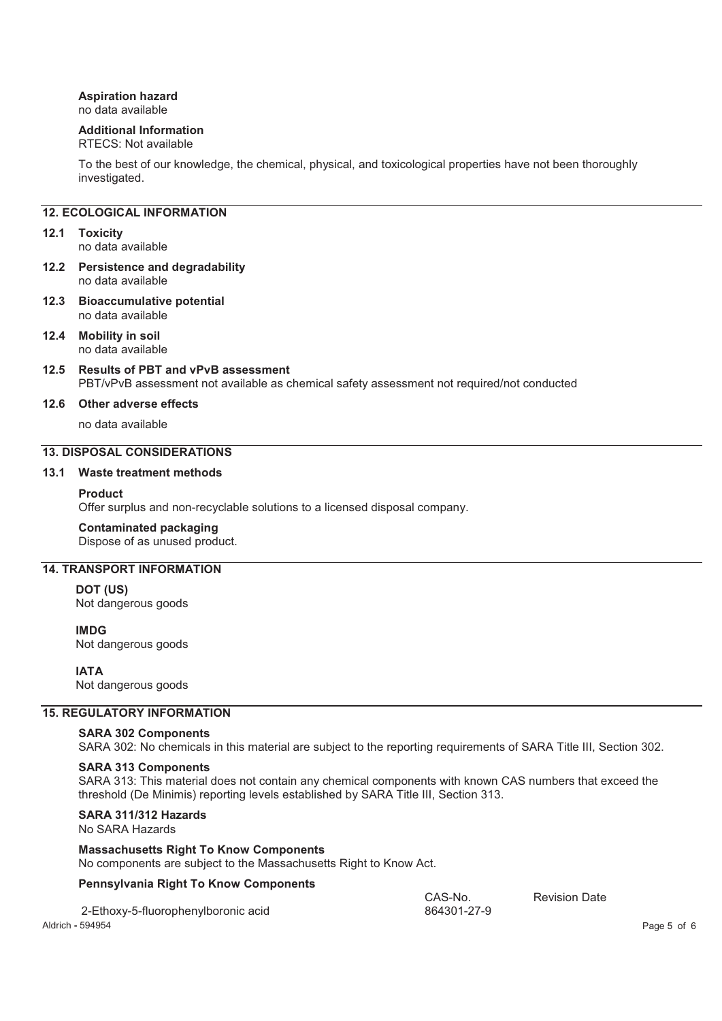## **Aspiration hazard**

no data available

## **Additional Information**

## RTECS: Not available

To the best of our knowledge, the chemical, physical, and toxicological properties have not been thoroughly investigated.

## **12. ECOLOGICAL INFORMATION**

## **12.1 Toxicity**

no data available

- **12.2 Persistence and degradability**  no data available
- **12.3 Bioaccumulative potential**  no data available
- **12.4 Mobility in soil**  no data available
- **12.5 Results of PBT and vPvB assessment**  PBT/vPvB assessment not available as chemical safety assessment not required/not conducted

#### **12.6 Other adverse effects**

no data available

## **13. DISPOSAL CONSIDERATIONS**

## **13.1 Waste treatment methods**

#### **Product**

Offer surplus and non-recyclable solutions to a licensed disposal company.

#### **Contaminated packaging**

Dispose of as unused product.

## **14. TRANSPORT INFORMATION**

**DOT (US)** Not dangerous goods

**IMDG** Not dangerous goods

**IATA**

Not dangerous goods

## **15. REGULATORY INFORMATION**

#### **SARA 302 Components**

SARA 302: No chemicals in this material are subject to the reporting requirements of SARA Title III, Section 302.

#### **SARA 313 Components**

SARA 313: This material does not contain any chemical components with known CAS numbers that exceed the threshold (De Minimis) reporting levels established by SARA Title III, Section 313.

## **SARA 311/312 Hazards**

No SARA Hazards

#### **Massachusetts Right To Know Components**

No components are subject to the Massachusetts Right to Know Act.

#### **Pennsylvania Right To Know Components**

|                  | 2-Ethoxy-5-fluorophenylboronic acid | CAS-No.<br>864301-27-9 | <b>Revision Date</b> |             |
|------------------|-------------------------------------|------------------------|----------------------|-------------|
| Aldrich - 594954 |                                     |                        |                      | Page 5 of 6 |